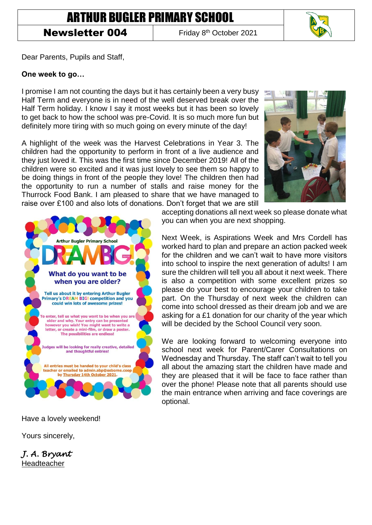**Newsletter 004** 

Friday 8<sup>th</sup> October 2021

Dear Parents, Pupils and Staff,

## **One week to go…**

I promise I am not counting the days but it has certainly been a very busy Half Term and everyone is in need of the well deserved break over the Half Term holiday. I know I say it most weeks but it has been so lovely to get back to how the school was pre-Covid. It is so much more fun but definitely more tiring with so much going on every minute of the day!

A highlight of the week was the Harvest Celebrations in Year 3. The children had the opportunity to perform in front of a live audience and they just loved it. This was the first time since December 2019! All of the children were so excited and it was just lovely to see them so happy to be doing things in front of the people they love! The children then had the opportunity to run a number of stalls and raise money for the Thurrock Food Bank. I am pleased to share that we have managed to raise over £100 and also lots of donations. Don't forget that we are still



accepting donations all next week so please donate what you can when you are next shopping.

Next Week, is Aspirations Week and Mrs Cordell has worked hard to plan and prepare an action packed week for the children and we can't wait to have more visitors into school to inspire the next generation of adults! I am sure the children will tell you all about it next week. There is also a competition with some excellent prizes so please do your best to encourage your children to take part. On the Thursday of next week the children can come into school dressed as their dream job and we are asking for a £1 donation for our charity of the year which will be decided by the School Council very soon.

We are looking forward to welcoming everyone into school next week for Parent/Carer Consultations on Wednesday and Thursday. The staff can't wait to tell you all about the amazing start the children have made and they are pleased that it will be face to face rather than over the phone! Please note that all parents should use the main entrance when arriving and face coverings are optional.

Have a lovely weekend!

Yours sincerely,

*J. A. Bryant*  Headteacher

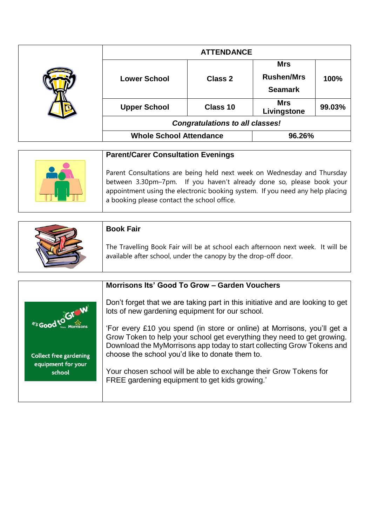| <b>ATTENDANCE</b>                      |                |                                                   |        |
|----------------------------------------|----------------|---------------------------------------------------|--------|
| <b>Lower School</b>                    | <b>Class 2</b> | <b>Mrs</b><br><b>Rushen/Mrs</b><br><b>Seamark</b> | 100%   |
| <b>Upper School</b>                    | Class 10       | <b>Mrs</b><br>Livingstone                         | 99.03% |
| <b>Congratulations to all classes!</b> |                |                                                   |        |
| <b>Whole School Attendance</b>         |                | 96.26%                                            |        |

| <b>Parent/Carer Consultation Evenings</b>                                                                                                                                                                                                                                         |  |
|-----------------------------------------------------------------------------------------------------------------------------------------------------------------------------------------------------------------------------------------------------------------------------------|--|
| Parent Consultations are being held next week on Wednesday and Thursday  <br>between 3.30pm-7pm. If you haven't already done so, please book your<br>appointment using the electronic booking system. If you need any help placing<br>a booking please contact the school office. |  |

| <b>Book Fair</b>                                                                                                                                  |
|---------------------------------------------------------------------------------------------------------------------------------------------------|
| The Travelling Book Fair will be at school each afternoon next week. It will be<br>available after school, under the canopy by the drop-off door. |

|                               | Morrisons Its' Good To Grow - Garden Vouchers                                                                                                                                                                                                                                    |
|-------------------------------|----------------------------------------------------------------------------------------------------------------------------------------------------------------------------------------------------------------------------------------------------------------------------------|
| As Good to Graw               | Don't forget that we are taking part in this initiative and are looking to get<br>lots of new gardening equipment for our school.                                                                                                                                                |
| <b>Collect free gardening</b> | 'For every £10 you spend (in store or online) at Morrisons, you'll get a<br>Grow Token to help your school get everything they need to get growing.<br>Download the MyMorrisons app today to start collecting Grow Tokens and<br>choose the school you'd like to donate them to. |
| equipment for your<br>school  | Your chosen school will be able to exchange their Grow Tokens for<br>FREE gardening equipment to get kids growing.'                                                                                                                                                              |
|                               |                                                                                                                                                                                                                                                                                  |